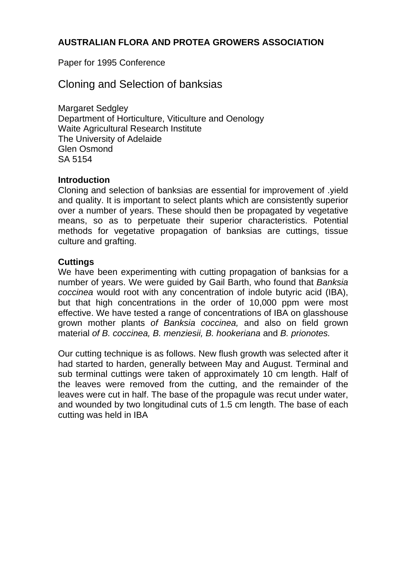# **AUSTRALIAN FLORA AND PROTEA GROWERS ASSOCIATION**

Paper for 1995 Conference

# Cloning and Selection of banksias

Margaret Sedgley Department of Horticulture, Viticulture and Oenology Waite Agricultural Research Institute The University of Adelaide Glen Osmond SA 5154

#### **Introduction**

Cloning and selection of banksias are essential for improvement of .yield and quality. It is important to select plants which are consistently superior over a number of years. These should then be propagated by vegetative means, so as to perpetuate their superior characteristics. Potential methods for vegetative propagation of banksias are cuttings, tissue culture and grafting.

## **Cuttings**

We have been experimenting with cutting propagation of banksias for a number of years. We were guided by Gail Barth, who found that *Banksia coccinea* would root with any concentration of indole butyric acid (IBA), but that high concentrations in the order of 10,000 ppm were most effective. We have tested a range of concentrations of IBA on glasshouse grown mother plants *of Banksia coccinea,* and also on field grown material *of B. coccinea, B. menziesii, B. hookeriana* and *B. prionotes.* 

Our cutting technique is as follows. New flush growth was selected after it had started to harden, generally between May and August. Terminal and sub terminal cuttings were taken of approximately 10 cm length. Half of the leaves were removed from the cutting, and the remainder of the leaves were cut in half. The base of the propagule was recut under water, and wounded by two longitudinal cuts of 1.5 cm length. The base of each cutting was held in IBA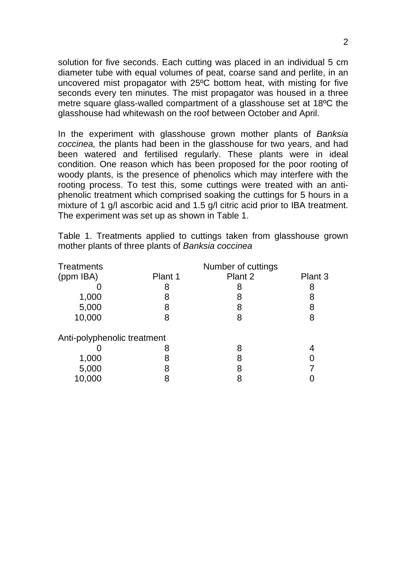solution for five seconds. Each cutting was placed in an individual 5 cm diameter tube with equal volumes of peat, coarse sand and perlite, in an uncovered mist propagator with 25ºC bottom heat, with misting for five seconds every ten minutes. The mist propagator was housed in a three metre square glass-walled compartment of a glasshouse set at 18ºC the glasshouse had whitewash on the roof between October and April.

In the experiment with glasshouse grown mother plants of *Banksia coccinea,* the plants had been in the glasshouse for two years, and had been watered and fertilised regularly. These plants were in ideal condition. One reason which has been proposed for the poor rooting of woody plants, is the presence of phenolics which may interfere with the rooting process. To test this, some cuttings were treated with an antiphenolic treatment which comprised soaking the cuttings for 5 hours in a mixture of 1 g/l ascorbic acid and 1.5 g/l citric acid prior to IBA treatment. The experiment was set up as shown in Table 1.

Table 1. Treatments applied to cuttings taken from glasshouse grown mother plants of three plants of *Banksia coccinea* 

| Treatments                  |         | Number of cuttings |         |  |  |  |
|-----------------------------|---------|--------------------|---------|--|--|--|
| (ppm IBA)                   | Plant 1 | Plant 2            | Plant 3 |  |  |  |
|                             | 8       | 8                  | 8       |  |  |  |
| 1,000                       | 8       | 8                  | 8       |  |  |  |
| 5,000                       | 8       | 8                  | 8       |  |  |  |
| 10,000                      | 8       | 8                  | 8       |  |  |  |
| Anti-polyphenolic treatment |         |                    |         |  |  |  |
|                             |         | 8                  |         |  |  |  |
| 1,000                       |         |                    |         |  |  |  |
| 5,000                       |         | 8                  |         |  |  |  |
| 10,000                      |         |                    |         |  |  |  |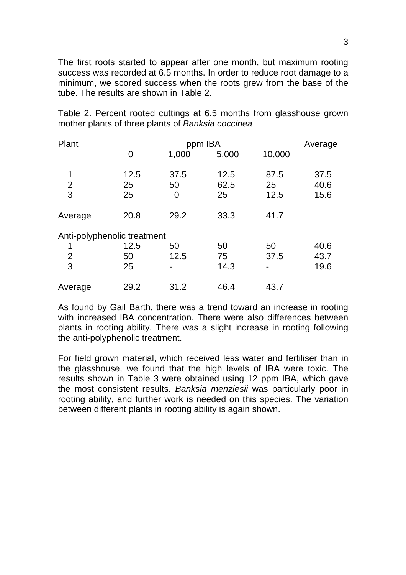The first roots started to appear after one month, but maximum rooting success was recorded at 6.5 months. In order to reduce root damage to a minimum, we scored success when the roots grew from the base of the tube. The results are shown in Table 2.

Table 2. Percent rooted cuttings at 6.5 months from glasshouse grown mother plants of three plants of *Banksia coccinea* 

| Plant                       |      | Average |       |        |      |
|-----------------------------|------|---------|-------|--------|------|
|                             | 0    | 1,000   | 5,000 | 10,000 |      |
| 1                           | 12.5 | 37.5    | 12.5  | 87.5   | 37.5 |
| $\overline{2}$              | 25   | 50      | 62.5  | 25     | 40.6 |
| 3                           | 25   | 0       | 25    | 12.5   | 15.6 |
| Average                     | 20.8 | 29.2    | 33.3  | 41.7   |      |
| Anti-polyphenolic treatment |      |         |       |        |      |
| 1                           | 12.5 | 50      | 50    | 50     | 40.6 |
| $\overline{2}$              | 50   | 12.5    | 75    | 37.5   | 43.7 |
| 3                           | 25   |         | 14.3  |        | 19.6 |
| Average                     | 29.2 | 31.2    | 46.4  | 43.7   |      |

As found by Gail Barth, there was a trend toward an increase in rooting with increased IBA concentration. There were also differences between plants in rooting ability. There was a slight increase in rooting following the anti-polyphenolic treatment.

For field grown material, which received less water and fertiliser than in the glasshouse, we found that the high levels of IBA were toxic. The results shown in Table 3 were obtained using 12 ppm IBA, which gave the most consistent results. *Banksia menziesii* was particularly poor in rooting ability, and further work is needed on this species. The variation between different plants in rooting ability is again shown.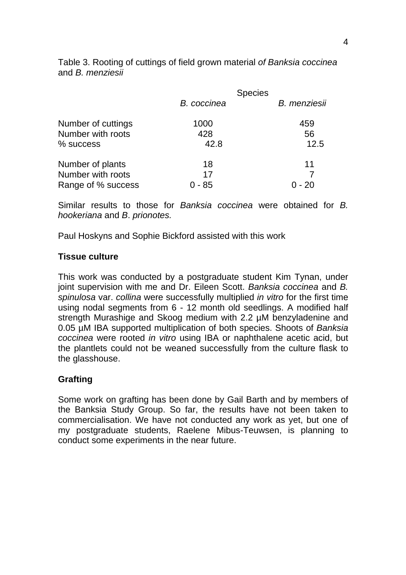|                    |             | <b>Species</b> |
|--------------------|-------------|----------------|
|                    | B. coccinea | B. menziesii   |
| Number of cuttings | 1000        | 459            |
| Number with roots  | 428         | 56             |
| % success          | 42.8        | 12.5           |
| Number of plants   | 18          | 11             |
| Number with roots  | 17          |                |
| Range of % success | - 85        | 0 - 20         |

Table 3. Rooting of cuttings of field grown material *of Banksia coccinea*  and *B. menziesii* 

Similar results to those for *Banksia coccinea* were obtained for *B. hookeriana* and *B*. *prionotes.* 

Paul Hoskyns and Sophie Bickford assisted with this work

#### **Tissue culture**

This work was conducted by a postgraduate student Kim Tynan, under joint supervision with me and Dr. Eileen Scott. *Banksia coccinea* and *B. spinulosa* var. *collina* were successfully multiplied *in vitro* for the first time using nodal segments from 6 - 12 month old seedlings. A modified half strength Murashige and Skoog medium with 2.2 µM benzyladenine and 0.05 µM IBA supported multiplication of both species. Shoots of *Banksia coccinea* were rooted *in vitro* using IBA or naphthalene acetic acid, but the plantlets could not be weaned successfully from the culture flask to the glasshouse.

# **Grafting**

Some work on grafting has been done by Gail Barth and by members of the Banksia Study Group. So far, the results have not been taken to commercialisation. We have not conducted any work as yet, but one of my postgraduate students, Raelene Mibus-Teuwsen, is planning to conduct some experiments in the near future.